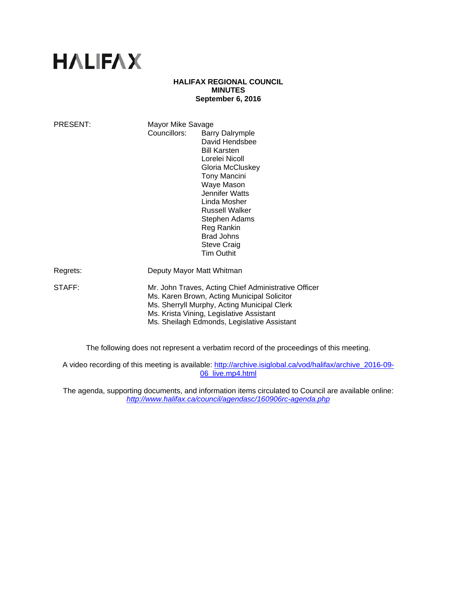# **HALIFAX**

## **HALIFAX REGIONAL COUNCIL MINUTES September 6, 2016**

| PRESENT: | Mayor Mike Savage<br>Councillors:                                                                                                                                                                                                             | <b>Barry Dalrymple</b><br>David Hendsbee<br><b>Bill Karsten</b><br>Lorelei Nicoll<br>Gloria McCluskey<br><b>Tony Mancini</b><br>Waye Mason<br>Jennifer Watts<br>Linda Mosher<br><b>Russell Walker</b><br>Stephen Adams<br>Reg Rankin<br><b>Brad Johns</b><br><b>Steve Craig</b><br><b>Tim Outhit</b> |
|----------|-----------------------------------------------------------------------------------------------------------------------------------------------------------------------------------------------------------------------------------------------|------------------------------------------------------------------------------------------------------------------------------------------------------------------------------------------------------------------------------------------------------------------------------------------------------|
| Regrets: | Deputy Mayor Matt Whitman                                                                                                                                                                                                                     |                                                                                                                                                                                                                                                                                                      |
| STAFF:   | Mr. John Traves, Acting Chief Administrative Officer<br>Ms. Karen Brown, Acting Municipal Solicitor<br>Ms. Sherryll Murphy, Acting Municipal Clerk<br>Ms. Krista Vining, Legislative Assistant<br>Ms. Sheilagh Edmonds, Legislative Assistant |                                                                                                                                                                                                                                                                                                      |

The following does not represent a verbatim record of the proceedings of this meeting.

A video recording of this meeting is available: http://archive.isiglobal.ca/vod/halifax/archive\_2016-09-06\_live.mp4.html

The agenda, supporting documents, and information items circulated to Council are available online: *http://www.halifax.ca/council/agendasc/160906rc-agenda.php*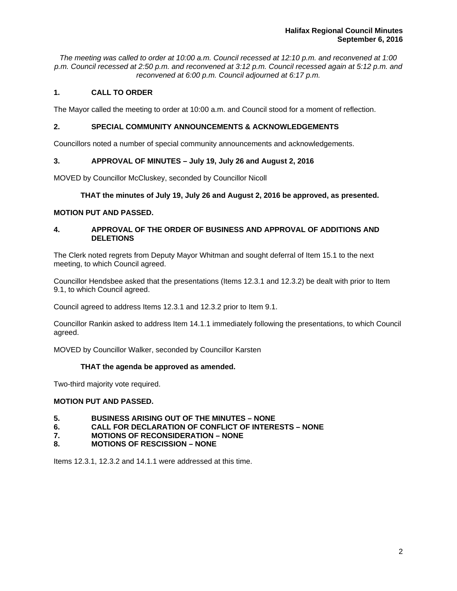*The meeting was called to order at 10:00 a.m. Council recessed at 12:10 p.m. and reconvened at 1:00 p.m. Council recessed at 2:50 p.m. and reconvened at 3:12 p.m. Council recessed again at 5:12 p.m. and reconvened at 6:00 p.m. Council adjourned at 6:17 p.m.*

# **1. CALL TO ORDER**

The Mayor called the meeting to order at 10:00 a.m. and Council stood for a moment of reflection.

## **2. SPECIAL COMMUNITY ANNOUNCEMENTS & ACKNOWLEDGEMENTS**

Councillors noted a number of special community announcements and acknowledgements.

# **3. APPROVAL OF MINUTES – July 19, July 26 and August 2, 2016**

MOVED by Councillor McCluskey, seconded by Councillor Nicoll

## **THAT the minutes of July 19, July 26 and August 2, 2016 be approved, as presented.**

## **MOTION PUT AND PASSED.**

## **4. APPROVAL OF THE ORDER OF BUSINESS AND APPROVAL OF ADDITIONS AND DELETIONS**

The Clerk noted regrets from Deputy Mayor Whitman and sought deferral of Item 15.1 to the next meeting, to which Council agreed.

Councillor Hendsbee asked that the presentations (Items 12.3.1 and 12.3.2) be dealt with prior to Item 9.1, to which Council agreed.

Council agreed to address Items 12.3.1 and 12.3.2 prior to Item 9.1.

Councillor Rankin asked to address Item 14.1.1 immediately following the presentations, to which Council agreed.

MOVED by Councillor Walker, seconded by Councillor Karsten

# **THAT the agenda be approved as amended.**

Two-third majority vote required.

## **MOTION PUT AND PASSED.**

- **5. BUSINESS ARISING OUT OF THE MINUTES NONE**
- **6. CALL FOR DECLARATION OF CONFLICT OF INTERESTS NONE**
- **7. MOTIONS OF RECONSIDERATION NONE**
- **8. MOTIONS OF RESCISSION NONE**

Items 12.3.1, 12.3.2 and 14.1.1 were addressed at this time.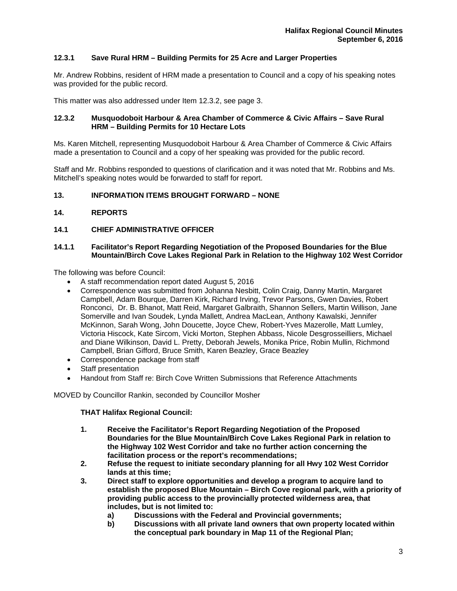# **12.3.1 Save Rural HRM – Building Permits for 25 Acre and Larger Properties**

Mr. Andrew Robbins, resident of HRM made a presentation to Council and a copy of his speaking notes was provided for the public record.

This matter was also addressed under Item 12.3.2, see page 3.

## **12.3.2 Musquodoboit Harbour & Area Chamber of Commerce & Civic Affairs – Save Rural HRM – Building Permits for 10 Hectare Lots**

Ms. Karen Mitchell, representing Musquodoboit Harbour & Area Chamber of Commerce & Civic Affairs made a presentation to Council and a copy of her speaking was provided for the public record.

Staff and Mr. Robbins responded to questions of clarification and it was noted that Mr. Robbins and Ms. Mitchell's speaking notes would be forwarded to staff for report.

## **13. INFORMATION ITEMS BROUGHT FORWARD – NONE**

## **14. REPORTS**

## **14.1 CHIEF ADMINISTRATIVE OFFICER**

#### **14.1.1 Facilitator's Report Regarding Negotiation of the Proposed Boundaries for the Blue Mountain/Birch Cove Lakes Regional Park in Relation to the Highway 102 West Corridor**

The following was before Council:

- A staff recommendation report dated August 5, 2016
- Correspondence was submitted from Johanna Nesbitt, Colin Craig, Danny Martin, Margaret Campbell, Adam Bourque, Darren Kirk, Richard Irving, Trevor Parsons, Gwen Davies, Robert Ronconci, Dr. B. Bhanot, Matt Reid, Margaret Galbraith, Shannon Sellers, Martin Willison, Jane Somerville and Ivan Soudek, Lynda Mallett, Andrea MacLean, Anthony Kawalski, Jennifer McKinnon, Sarah Wong, John Doucette, Joyce Chew, Robert-Yves Mazerolle, Matt Lumley, Victoria Hiscock, Kate Sircom, Vicki Morton, Stephen Abbass, Nicole Desgrosseilliers, Michael and Diane Wilkinson, David L. Pretty, Deborah Jewels, Monika Price, Robin Mullin, Richmond Campbell, Brian Gifford, Bruce Smith, Karen Beazley, Grace Beazley
- Correspondence package from staff
- Staff presentation
- Handout from Staff re: Birch Cove Written Submissions that Reference Attachments

MOVED by Councillor Rankin, seconded by Councillor Mosher

## **THAT Halifax Regional Council:**

- **1. Receive the Facilitator's Report Regarding Negotiation of the Proposed Boundaries for the Blue Mountain/Birch Cove Lakes Regional Park in relation to the Highway 102 West Corridor and take no further action concerning the facilitation process or the report's recommendations;**
- **2. Refuse the request to initiate secondary planning for all Hwy 102 West Corridor lands at this time;**
- **3. Direct staff to explore opportunities and develop a program to acquire land to establish the proposed Blue Mountain – Birch Cove regional park, with a priority of providing public access to the provincially protected wilderness area, that includes, but is not limited to:** 
	- **a) Discussions with the Federal and Provincial governments;**
	- **b) Discussions with all private land owners that own property located within the conceptual park boundary in Map 11 of the Regional Plan;**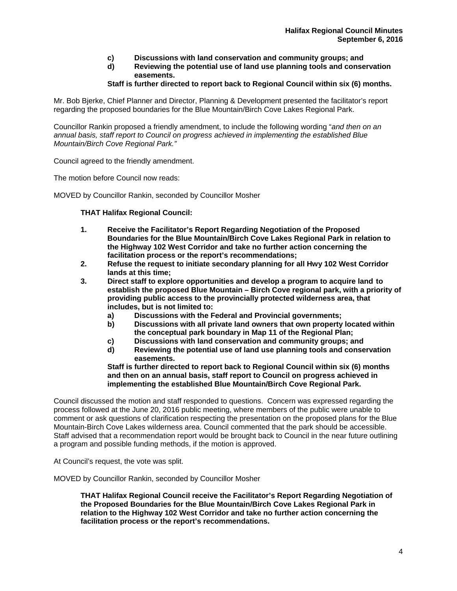- **c) Discussions with land conservation and community groups; and**
- **d) Reviewing the potential use of land use planning tools and conservation easements.**

## **Staff is further directed to report back to Regional Council within six (6) months.**

Mr. Bob Bjerke, Chief Planner and Director, Planning & Development presented the facilitator's report regarding the proposed boundaries for the Blue Mountain/Birch Cove Lakes Regional Park.

Councillor Rankin proposed a friendly amendment, to include the following wording "*and then on an annual basis, staff report to Council on progress achieved in implementing the established Blue Mountain/Birch Cove Regional Park."* 

Council agreed to the friendly amendment.

The motion before Council now reads:

MOVED by Councillor Rankin, seconded by Councillor Mosher

**THAT Halifax Regional Council:** 

- **1. Receive the Facilitator's Report Regarding Negotiation of the Proposed Boundaries for the Blue Mountain/Birch Cove Lakes Regional Park in relation to the Highway 102 West Corridor and take no further action concerning the facilitation process or the report's recommendations;**
- **2. Refuse the request to initiate secondary planning for all Hwy 102 West Corridor lands at this time;**
- **3. Direct staff to explore opportunities and develop a program to acquire land to establish the proposed Blue Mountain – Birch Cove regional park, with a priority of providing public access to the provincially protected wilderness area, that includes, but is not limited to:** 
	- **a) Discussions with the Federal and Provincial governments;**
	- **b) Discussions with all private land owners that own property located within the conceptual park boundary in Map 11 of the Regional Plan;**
	- **c) Discussions with land conservation and community groups; and**
	- **d) Reviewing the potential use of land use planning tools and conservation easements.**

**Staff is further directed to report back to Regional Council within six (6) months and then on an annual basis, staff report to Council on progress achieved in implementing the established Blue Mountain/Birch Cove Regional Park.** 

Council discussed the motion and staff responded to questions. Concern was expressed regarding the process followed at the June 20, 2016 public meeting, where members of the public were unable to comment or ask questions of clarification respecting the presentation on the proposed plans for the Blue Mountain-Birch Cove Lakes wilderness area. Council commented that the park should be accessible. Staff advised that a recommendation report would be brought back to Council in the near future outlining a program and possible funding methods, if the motion is approved.

At Council's request, the vote was split.

MOVED by Councillor Rankin, seconded by Councillor Mosher

**THAT Halifax Regional Council receive the Facilitator's Report Regarding Negotiation of the Proposed Boundaries for the Blue Mountain/Birch Cove Lakes Regional Park in relation to the Highway 102 West Corridor and take no further action concerning the facilitation process or the report's recommendations.**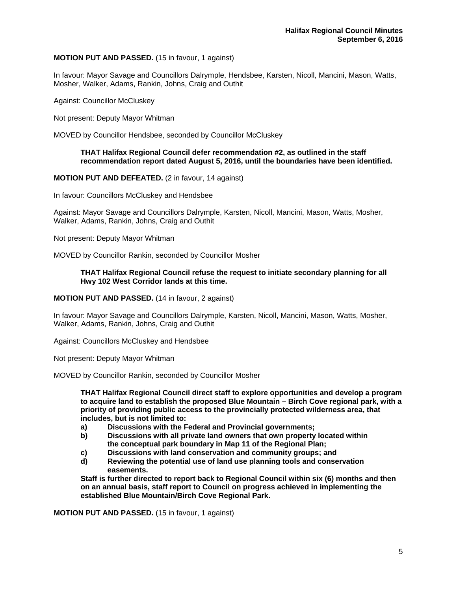## **MOTION PUT AND PASSED.** (15 in favour, 1 against)

In favour: Mayor Savage and Councillors Dalrymple, Hendsbee, Karsten, Nicoll, Mancini, Mason, Watts, Mosher, Walker, Adams, Rankin, Johns, Craig and Outhit

Against: Councillor McCluskey

Not present: Deputy Mayor Whitman

MOVED by Councillor Hendsbee, seconded by Councillor McCluskey

## **THAT Halifax Regional Council defer recommendation #2, as outlined in the staff recommendation report dated August 5, 2016, until the boundaries have been identified.**

#### **MOTION PUT AND DEFEATED.** (2 in favour, 14 against)

In favour: Councillors McCluskey and Hendsbee

Against: Mayor Savage and Councillors Dalrymple, Karsten, Nicoll, Mancini, Mason, Watts, Mosher, Walker, Adams, Rankin, Johns, Craig and Outhit

Not present: Deputy Mayor Whitman

MOVED by Councillor Rankin, seconded by Councillor Mosher

#### **THAT Halifax Regional Council refuse the request to initiate secondary planning for all Hwy 102 West Corridor lands at this time.**

#### **MOTION PUT AND PASSED.** (14 in favour, 2 against)

In favour: Mayor Savage and Councillors Dalrymple, Karsten, Nicoll, Mancini, Mason, Watts, Mosher, Walker, Adams, Rankin, Johns, Craig and Outhit

Against: Councillors McCluskey and Hendsbee

Not present: Deputy Mayor Whitman

MOVED by Councillor Rankin, seconded by Councillor Mosher

**THAT Halifax Regional Council direct staff to explore opportunities and develop a program to acquire land to establish the proposed Blue Mountain – Birch Cove regional park, with a priority of providing public access to the provincially protected wilderness area, that includes, but is not limited to:** 

- **a) Discussions with the Federal and Provincial governments;**
- **b) Discussions with all private land owners that own property located within the conceptual park boundary in Map 11 of the Regional Plan;**
- **c) Discussions with land conservation and community groups; and**
- **d) Reviewing the potential use of land use planning tools and conservation easements.**

**Staff is further directed to report back to Regional Council within six (6) months and then on an annual basis, staff report to Council on progress achieved in implementing the established Blue Mountain/Birch Cove Regional Park.** 

**MOTION PUT AND PASSED.** (15 in favour, 1 against)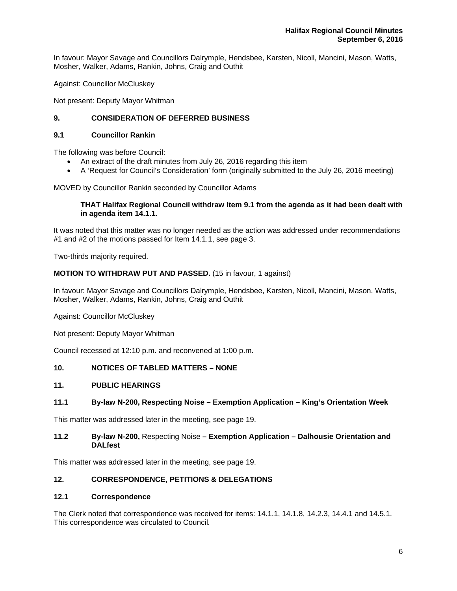In favour: Mayor Savage and Councillors Dalrymple, Hendsbee, Karsten, Nicoll, Mancini, Mason, Watts, Mosher, Walker, Adams, Rankin, Johns, Craig and Outhit

Against: Councillor McCluskey

Not present: Deputy Mayor Whitman

# **9. CONSIDERATION OF DEFERRED BUSINESS**

## **9.1 Councillor Rankin**

The following was before Council:

- An extract of the draft minutes from July 26, 2016 regarding this item
- A 'Request for Council's Consideration' form (originally submitted to the July 26, 2016 meeting)

MOVED by Councillor Rankin seconded by Councillor Adams

## **THAT Halifax Regional Council withdraw Item 9.1 from the agenda as it had been dealt with in agenda item 14.1.1.**

It was noted that this matter was no longer needed as the action was addressed under recommendations #1 and #2 of the motions passed for Item 14.1.1, see page 3.

Two-thirds majority required.

## **MOTION TO WITHDRAW PUT AND PASSED.** (15 in favour, 1 against)

In favour: Mayor Savage and Councillors Dalrymple, Hendsbee, Karsten, Nicoll, Mancini, Mason, Watts, Mosher, Walker, Adams, Rankin, Johns, Craig and Outhit

Against: Councillor McCluskey

Not present: Deputy Mayor Whitman

Council recessed at 12:10 p.m. and reconvened at 1:00 p.m.

## **10. NOTICES OF TABLED MATTERS – NONE**

## **11. PUBLIC HEARINGS**

## **11.1 By-law N-200, Respecting Noise – Exemption Application – King's Orientation Week**

This matter was addressed later in the meeting, see page 19.

## **11.2 By-law N-200,** Respecting Noise **– Exemption Application – Dalhousie Orientation and DALfest**

This matter was addressed later in the meeting, see page 19.

## **12. CORRESPONDENCE, PETITIONS & DELEGATIONS**

## **12.1 Correspondence**

The Clerk noted that correspondence was received for items: 14.1.1, 14.1.8, 14.2.3, 14.4.1 and 14.5.1. This correspondence was circulated to Council*.*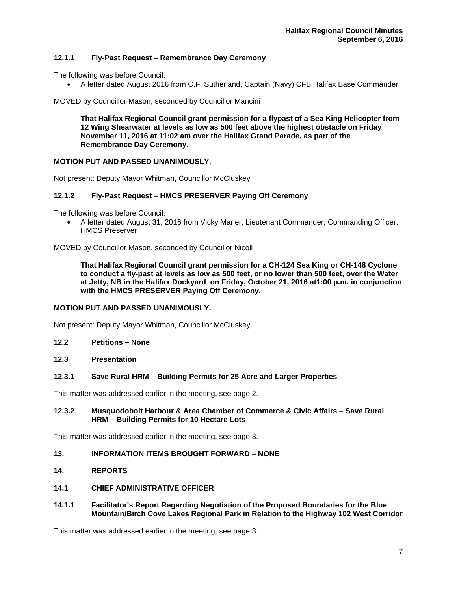## **12.1.1 Fly-Past Request – Remembrance Day Ceremony**

The following was before Council:

A letter dated August 2016 from C.F. Sutherland, Captain (Navy) CFB Halifax Base Commander

MOVED by Councillor Mason, seconded by Councillor Mancini

**That Halifax Regional Council grant permission for a flypast of a Sea King Helicopter from 12 Wing Shearwater at levels as low as 500 feet above the highest obstacle on Friday November 11, 2016 at 11:02 am over the Halifax Grand Parade, as part of the Remembrance Day Ceremony.** 

## **MOTION PUT AND PASSED UNANIMOUSLY.**

Not present: Deputy Mayor Whitman, Councillor McCluskey

#### **12.1.2 Fly-Past Request – HMCS PRESERVER Paying Off Ceremony**

The following was before Council:

 A letter dated August 31, 2016 from Vicky Marier, Lieutenant Commander, Commanding Officer, HMCS Preserver

MOVED by Councillor Mason, seconded by Councillor Nicoll

**That Halifax Regional Council grant permission for a CH-124 Sea King or CH-148 Cyclone to conduct a fly-past at levels as low as 500 feet, or no lower than 500 feet, over the Water at Jetty, NB in the Halifax Dockyard on Friday, October 21, 2016 at1:00 p.m. in conjunction with the HMCS PRESERVER Paying Off Ceremony.**

## **MOTION PUT AND PASSED UNANIMOUSLY.**

Not present: Deputy Mayor Whitman, Councillor McCluskey

- **12.2 Petitions None**
- **12.3 Presentation**

#### **12.3.1 Save Rural HRM – Building Permits for 25 Acre and Larger Properties**

This matter was addressed earlier in the meeting, see page 2.

## **12.3.2 Musquodoboit Harbour & Area Chamber of Commerce & Civic Affairs – Save Rural HRM – Building Permits for 10 Hectare Lots**

This matter was addressed earlier in the meeting, see page 3.

## **13. INFORMATION ITEMS BROUGHT FORWARD – NONE**

- **14. REPORTS**
- **14.1 CHIEF ADMINISTRATIVE OFFICER**
- **14.1.1 Facilitator's Report Regarding Negotiation of the Proposed Boundaries for the Blue Mountain/Birch Cove Lakes Regional Park in Relation to the Highway 102 West Corridor**

This matter was addressed earlier in the meeting, see page 3.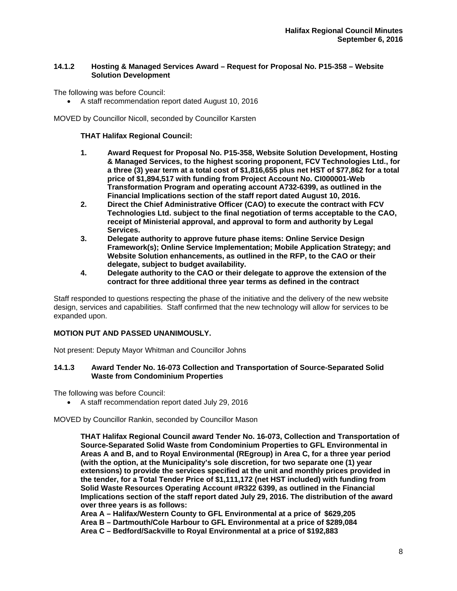## **14.1.2 Hosting & Managed Services Award – Request for Proposal No. P15-358 – Website Solution Development**

The following was before Council:

A staff recommendation report dated August 10, 2016

MOVED by Councillor Nicoll, seconded by Councillor Karsten

## **THAT Halifax Regional Council:**

- **1. Award Request for Proposal No. P15-358, Website Solution Development, Hosting & Managed Services, to the highest scoring proponent, FCV Technologies Ltd., for a three (3) year term at a total cost of \$1,816,655 plus net HST of \$77,862 for a total price of \$1,894,517 with funding from Project Account No. CI000001-Web Transformation Program and operating account A732-6399, as outlined in the**
- **Financial Implications section of the staff report dated August 10, 2016. 2. Direct the Chief Administrative Officer (CAO) to execute the contract with FCV Technologies Ltd. subject to the final negotiation of terms acceptable to the CAO, receipt of Ministerial approval, and approval to form and authority by Legal Services.**
- **3. Delegate authority to approve future phase items: Online Service Design Framework(s); Online Service Implementation; Mobile Application Strategy; and Website Solution enhancements, as outlined in the RFP, to the CAO or their delegate, subject to budget availability.**
- **4. Delegate authority to the CAO or their delegate to approve the extension of the contract for three additional three year terms as defined in the contract**

Staff responded to questions respecting the phase of the initiative and the delivery of the new website design, services and capabilities. Staff confirmed that the new technology will allow for services to be expanded upon.

## **MOTION PUT AND PASSED UNANIMOUSLY.**

Not present: Deputy Mayor Whitman and Councillor Johns

## **14.1.3 Award Tender No. 16-073 Collection and Transportation of Source-Separated Solid Waste from Condominium Properties**

The following was before Council:

A staff recommendation report dated July 29, 2016

MOVED by Councillor Rankin, seconded by Councillor Mason

**THAT Halifax Regional Council award Tender No. 16-073, Collection and Transportation of Source-Separated Solid Waste from Condominium Properties to GFL Environmental in Areas A and B, and to Royal Environmental (REgroup) in Area C, for a three year period (with the option, at the Municipality's sole discretion, for two separate one (1) year extensions) to provide the services specified at the unit and monthly prices provided in the tender, for a Total Tender Price of \$1,111,172 (net HST included) with funding from Solid Waste Resources Operating Account #R322 6399, as outlined in the Financial Implications section of the staff report dated July 29, 2016. The distribution of the award over three years is as follows:** 

**Area A – Halifax/Western County to GFL Environmental at a price of \$629,205 Area B – Dartmouth/Cole Harbour to GFL Environmental at a price of \$289,084 Area C – Bedford/Sackville to Royal Environmental at a price of \$192,883**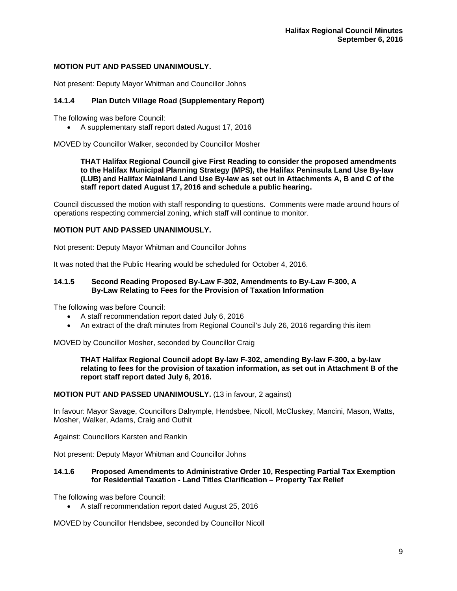## **MOTION PUT AND PASSED UNANIMOUSLY.**

Not present: Deputy Mayor Whitman and Councillor Johns

# **14.1.4 Plan Dutch Village Road (Supplementary Report)**

The following was before Council:

A supplementary staff report dated August 17, 2016

MOVED by Councillor Walker, seconded by Councillor Mosher

**THAT Halifax Regional Council give First Reading to consider the proposed amendments to the Halifax Municipal Planning Strategy (MPS), the Halifax Peninsula Land Use By-law (LUB) and Halifax Mainland Land Use By-law as set out in Attachments A, B and C of the staff report dated August 17, 2016 and schedule a public hearing.**

Council discussed the motion with staff responding to questions. Comments were made around hours of operations respecting commercial zoning, which staff will continue to monitor.

## **MOTION PUT AND PASSED UNANIMOUSLY.**

Not present: Deputy Mayor Whitman and Councillor Johns

It was noted that the Public Hearing would be scheduled for October 4, 2016.

## **14.1.5 Second Reading Proposed By-Law F-302, Amendments to By-Law F-300, A By-Law Relating to Fees for the Provision of Taxation Information**

The following was before Council:

- A staff recommendation report dated July 6, 2016
- An extract of the draft minutes from Regional Council's July 26, 2016 regarding this item

MOVED by Councillor Mosher, seconded by Councillor Craig

**THAT Halifax Regional Council adopt By-law F-302, amending By-law F-300, a by-law relating to fees for the provision of taxation information, as set out in Attachment B of the report staff report dated July 6, 2016.** 

## **MOTION PUT AND PASSED UNANIMOUSLY.** (13 in favour, 2 against)

In favour: Mayor Savage, Councillors Dalrymple, Hendsbee, Nicoll, McCluskey, Mancini, Mason, Watts, Mosher, Walker, Adams, Craig and Outhit

Against: Councillors Karsten and Rankin

Not present: Deputy Mayor Whitman and Councillor Johns

## **14.1.6 Proposed Amendments to Administrative Order 10, Respecting Partial Tax Exemption for Residential Taxation - Land Titles Clarification – Property Tax Relief**

The following was before Council:

A staff recommendation report dated August 25, 2016

MOVED by Councillor Hendsbee, seconded by Councillor Nicoll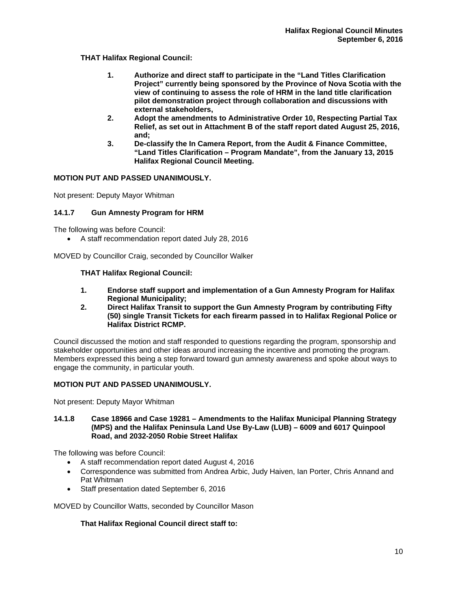**THAT Halifax Regional Council:** 

- **1. Authorize and direct staff to participate in the "Land Titles Clarification Project" currently being sponsored by the Province of Nova Scotia with the view of continuing to assess the role of HRM in the land title clarification pilot demonstration project through collaboration and discussions with external stakeholders,**
- **2. Adopt the amendments to Administrative Order 10, Respecting Partial Tax Relief, as set out in Attachment B of the staff report dated August 25, 2016, and;**
- **3. De-classify the In Camera Report, from the Audit & Finance Committee, "Land Titles Clarification – Program Mandate", from the January 13, 2015 Halifax Regional Council Meeting.**

# **MOTION PUT AND PASSED UNANIMOUSLY.**

Not present: Deputy Mayor Whitman

# **14.1.7 Gun Amnesty Program for HRM**

The following was before Council:

A staff recommendation report dated July 28, 2016

MOVED by Councillor Craig, seconded by Councillor Walker

# **THAT Halifax Regional Council:**

- **1. Endorse staff support and implementation of a Gun Amnesty Program for Halifax Regional Municipality;<br>2. Direct Halifax Transit to**
- **2. Direct Halifax Transit to support the Gun Amnesty Program by contributing Fifty (50) single Transit Tickets for each firearm passed in to Halifax Regional Police or Halifax District RCMP.**

Council discussed the motion and staff responded to questions regarding the program, sponsorship and stakeholder opportunities and other ideas around increasing the incentive and promoting the program. Members expressed this being a step forward toward gun amnesty awareness and spoke about ways to engage the community, in particular youth.

# **MOTION PUT AND PASSED UNANIMOUSLY.**

Not present: Deputy Mayor Whitman

## **14.1.8 Case 18966 and Case 19281 – Amendments to the Halifax Municipal Planning Strategy (MPS) and the Halifax Peninsula Land Use By-Law (LUB) – 6009 and 6017 Quinpool Road, and 2032-2050 Robie Street Halifax**

The following was before Council:

- A staff recommendation report dated August 4, 2016
- Correspondence was submitted from Andrea Arbic, Judy Haiven, Ian Porter, Chris Annand and Pat Whitman
- Staff presentation dated September 6, 2016

MOVED by Councillor Watts, seconded by Councillor Mason

# **That Halifax Regional Council direct staff to:**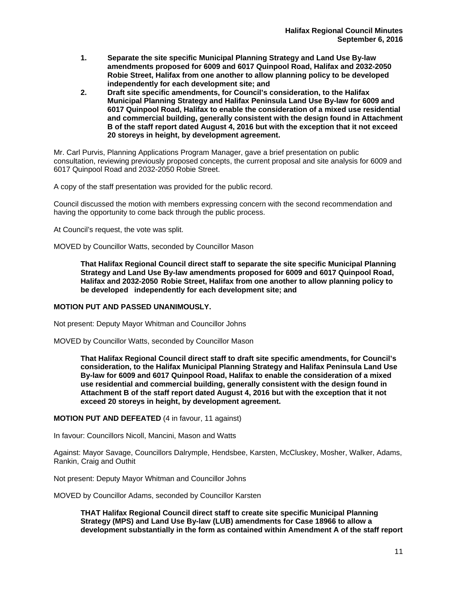- **1. Separate the site specific Municipal Planning Strategy and Land Use By-law amendments proposed for 6009 and 6017 Quinpool Road, Halifax and 2032-2050 Robie Street, Halifax from one another to allow planning policy to be developed independently for each development site; and**
- **2. Draft site specific amendments, for Council's consideration, to the Halifax Municipal Planning Strategy and Halifax Peninsula Land Use By-law for 6009 and 6017 Quinpool Road, Halifax to enable the consideration of a mixed use residential and commercial building, generally consistent with the design found in Attachment B of the staff report dated August 4, 2016 but with the exception that it not exceed 20 storeys in height, by development agreement.**

Mr. Carl Purvis, Planning Applications Program Manager, gave a brief presentation on public consultation, reviewing previously proposed concepts, the current proposal and site analysis for 6009 and 6017 Quinpool Road and 2032-2050 Robie Street.

A copy of the staff presentation was provided for the public record.

Council discussed the motion with members expressing concern with the second recommendation and having the opportunity to come back through the public process.

At Council's request, the vote was split.

MOVED by Councillor Watts, seconded by Councillor Mason

**That Halifax Regional Council direct staff to separate the site specific Municipal Planning Strategy and Land Use By-law amendments proposed for 6009 and 6017 Quinpool Road, Halifax and 2032-2050 Robie Street, Halifax from one another to allow planning policy to be developed independently for each development site; and** 

## **MOTION PUT AND PASSED UNANIMOUSLY.**

Not present: Deputy Mayor Whitman and Councillor Johns

MOVED by Councillor Watts, seconded by Councillor Mason

**That Halifax Regional Council direct staff to draft site specific amendments, for Council's consideration, to the Halifax Municipal Planning Strategy and Halifax Peninsula Land Use By-law for 6009 and 6017 Quinpool Road, Halifax to enable the consideration of a mixed use residential and commercial building, generally consistent with the design found in Attachment B of the staff report dated August 4, 2016 but with the exception that it not exceed 20 storeys in height, by development agreement.** 

# **MOTION PUT AND DEFEATED** (4 in favour, 11 against)

In favour: Councillors Nicoll, Mancini, Mason and Watts

Against: Mayor Savage, Councillors Dalrymple, Hendsbee, Karsten, McCluskey, Mosher, Walker, Adams, Rankin, Craig and Outhit

Not present: Deputy Mayor Whitman and Councillor Johns

MOVED by Councillor Adams, seconded by Councillor Karsten

**THAT Halifax Regional Council direct staff to create site specific Municipal Planning Strategy (MPS) and Land Use By-law (LUB) amendments for Case 18966 to allow a development substantially in the form as contained within Amendment A of the staff report**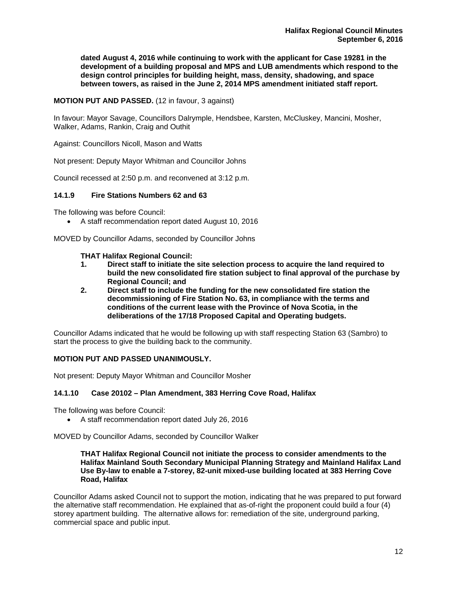**dated August 4, 2016 while continuing to work with the applicant for Case 19281 in the development of a building proposal and MPS and LUB amendments which respond to the design control principles for building height, mass, density, shadowing, and space between towers, as raised in the June 2, 2014 MPS amendment initiated staff report.** 

**MOTION PUT AND PASSED.** (12 in favour, 3 against)

In favour: Mayor Savage, Councillors Dalrymple, Hendsbee, Karsten, McCluskey, Mancini, Mosher, Walker, Adams, Rankin, Craig and Outhit

Against: Councillors Nicoll, Mason and Watts

Not present: Deputy Mayor Whitman and Councillor Johns

Council recessed at 2:50 p.m. and reconvened at 3:12 p.m.

## **14.1.9 Fire Stations Numbers 62 and 63**

The following was before Council:

A staff recommendation report dated August 10, 2016

MOVED by Councillor Adams, seconded by Councillor Johns

## **THAT Halifax Regional Council:**

- **1. Direct staff to initiate the site selection process to acquire the land required to build the new consolidated fire station subject to final approval of the purchase by Regional Council; and**
- **2. Direct staff to include the funding for the new consolidated fire station the decommissioning of Fire Station No. 63, in compliance with the terms and conditions of the current lease with the Province of Nova Scotia, in the deliberations of the 17/18 Proposed Capital and Operating budgets.**

Councillor Adams indicated that he would be following up with staff respecting Station 63 (Sambro) to start the process to give the building back to the community.

## **MOTION PUT AND PASSED UNANIMOUSLY.**

Not present: Deputy Mayor Whitman and Councillor Mosher

# **14.1.10 Case 20102 – Plan Amendment, 383 Herring Cove Road, Halifax**

The following was before Council:

A staff recommendation report dated July 26, 2016

MOVED by Councillor Adams, seconded by Councillor Walker

## **THAT Halifax Regional Council not initiate the process to consider amendments to the Halifax Mainland South Secondary Municipal Planning Strategy and Mainland Halifax Land Use By-law to enable a 7-storey, 82-unit mixed-use building located at 383 Herring Cove Road, Halifax**

Councillor Adams asked Council not to support the motion, indicating that he was prepared to put forward the alternative staff recommendation. He explained that as-of-right the proponent could build a four (4) storey apartment building. The alternative allows for: remediation of the site, underground parking, commercial space and public input.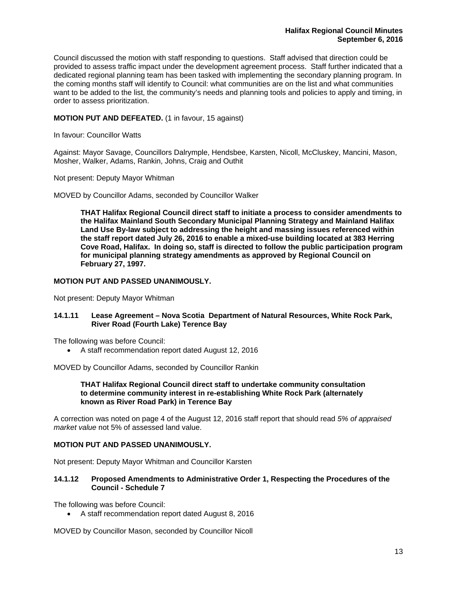Council discussed the motion with staff responding to questions. Staff advised that direction could be provided to assess traffic impact under the development agreement process. Staff further indicated that a dedicated regional planning team has been tasked with implementing the secondary planning program. In the coming months staff will identify to Council: what communities are on the list and what communities want to be added to the list, the community's needs and planning tools and policies to apply and timing, in order to assess prioritization.

## **MOTION PUT AND DEFEATED.** (1 in favour, 15 against)

In favour: Councillor Watts

Against: Mayor Savage, Councillors Dalrymple, Hendsbee, Karsten, Nicoll, McCluskey, Mancini, Mason, Mosher, Walker, Adams, Rankin, Johns, Craig and Outhit

Not present: Deputy Mayor Whitman

MOVED by Councillor Adams, seconded by Councillor Walker

**THAT Halifax Regional Council direct staff to initiate a process to consider amendments to the Halifax Mainland South Secondary Municipal Planning Strategy and Mainland Halifax Land Use By-law subject to addressing the height and massing issues referenced within the staff report dated July 26, 2016 to enable a mixed-use building located at 383 Herring Cove Road, Halifax. In doing so, staff is directed to follow the public participation program for municipal planning strategy amendments as approved by Regional Council on February 27, 1997.** 

## **MOTION PUT AND PASSED UNANIMOUSLY.**

Not present: Deputy Mayor Whitman

## **14.1.11 Lease Agreement – Nova Scotia Department of Natural Resources, White Rock Park, River Road (Fourth Lake) Terence Bay**

The following was before Council:

A staff recommendation report dated August 12, 2016

MOVED by Councillor Adams, seconded by Councillor Rankin

## **THAT Halifax Regional Council direct staff to undertake community consultation to determine community interest in re-establishing White Rock Park (alternately known as River Road Park) in Terence Bay**

A correction was noted on page 4 of the August 12, 2016 staff report that should read *5% of appraised market value* not 5% of assessed land value.

## **MOTION PUT AND PASSED UNANIMOUSLY.**

Not present: Deputy Mayor Whitman and Councillor Karsten

## **14.1.12 Proposed Amendments to Administrative Order 1, Respecting the Procedures of the Council - Schedule 7**

The following was before Council:

A staff recommendation report dated August 8, 2016

MOVED by Councillor Mason, seconded by Councillor Nicoll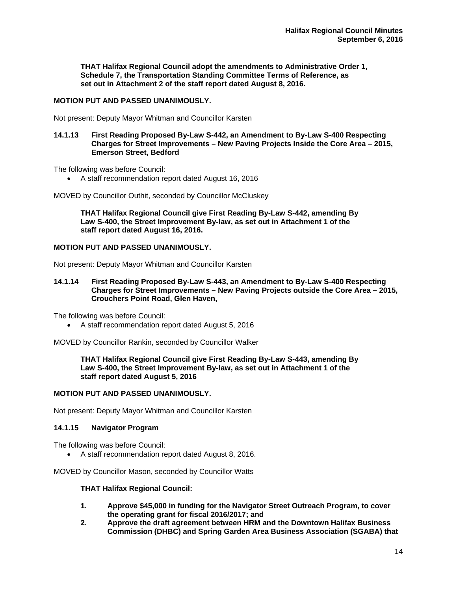**THAT Halifax Regional Council adopt the amendments to Administrative Order 1, Schedule 7, the Transportation Standing Committee Terms of Reference, as set out in Attachment 2 of the staff report dated August 8, 2016.** 

## **MOTION PUT AND PASSED UNANIMOUSLY.**

Not present: Deputy Mayor Whitman and Councillor Karsten

## **14.1.13 First Reading Proposed By-Law S-442, an Amendment to By-Law S-400 Respecting Charges for Street Improvements – New Paving Projects Inside the Core Area – 2015, Emerson Street, Bedford**

The following was before Council:

A staff recommendation report dated August 16, 2016

MOVED by Councillor Outhit, seconded by Councillor McCluskey

**THAT Halifax Regional Council give First Reading By-Law S-442, amending By Law S-400, the Street Improvement By-law, as set out in Attachment 1 of the staff report dated August 16, 2016.** 

## **MOTION PUT AND PASSED UNANIMOUSLY.**

Not present: Deputy Mayor Whitman and Councillor Karsten

**14.1.14 First Reading Proposed By-Law S-443, an Amendment to By-Law S-400 Respecting Charges for Street Improvements – New Paving Projects outside the Core Area – 2015, Crouchers Point Road, Glen Haven,** 

The following was before Council:

A staff recommendation report dated August 5, 2016

MOVED by Councillor Rankin, seconded by Councillor Walker

**THAT Halifax Regional Council give First Reading By-Law S-443, amending By Law S-400, the Street Improvement By-law, as set out in Attachment 1 of the staff report dated August 5, 2016** 

# **MOTION PUT AND PASSED UNANIMOUSLY.**

Not present: Deputy Mayor Whitman and Councillor Karsten

## **14.1.15 Navigator Program**

The following was before Council:

A staff recommendation report dated August 8, 2016.

MOVED by Councillor Mason, seconded by Councillor Watts

## **THAT Halifax Regional Council:**

- **1. Approve \$45,000 in funding for the Navigator Street Outreach Program, to cover the operating grant for fiscal 2016/2017; and**
- **2. Approve the draft agreement between HRM and the Downtown Halifax Business Commission (DHBC) and Spring Garden Area Business Association (SGABA) that**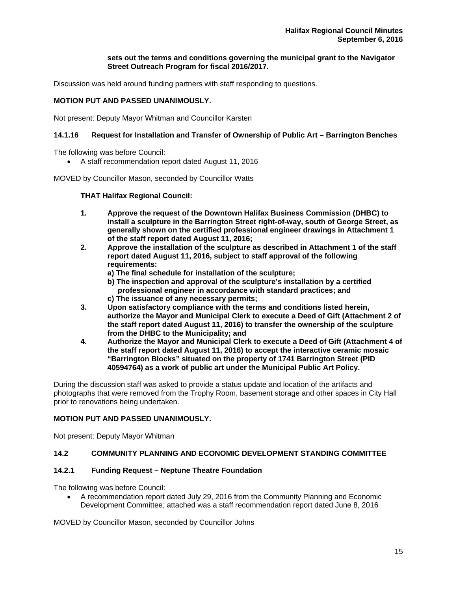## **sets out the terms and conditions governing the municipal grant to the Navigator Street Outreach Program for fiscal 2016/2017.**

Discussion was held around funding partners with staff responding to questions.

## **MOTION PUT AND PASSED UNANIMOUSLY.**

Not present: Deputy Mayor Whitman and Councillor Karsten

# **14.1.16 Request for Installation and Transfer of Ownership of Public Art – Barrington Benches**

The following was before Council:

A staff recommendation report dated August 11, 2016

MOVED by Councillor Mason, seconded by Councillor Watts

## **THAT Halifax Regional Council:**

- **1. Approve the request of the Downtown Halifax Business Commission (DHBC) to install a sculpture in the Barrington Street right-of-way, south of George Street, as generally shown on the certified professional engineer drawings in Attachment 1 of the staff report dated August 11, 2016;**
- **2. Approve the installation of the sculpture as described in Attachment 1 of the staff report dated August 11, 2016, subject to staff approval of the following requirements:** 
	- **a) The final schedule for installation of the sculpture;**
	- **b) The inspection and approval of the sculpture's installation by a certified professional engineer in accordance with standard practices; and**
	- **c) The issuance of any necessary permits;**
- **3. Upon satisfactory compliance with the terms and conditions listed herein, authorize the Mayor and Municipal Clerk to execute a Deed of Gift (Attachment 2 of the staff report dated August 11, 2016) to transfer the ownership of the sculpture from the DHBC to the Municipality; and**
- **4. Authorize the Mayor and Municipal Clerk to execute a Deed of Gift (Attachment 4 of the staff report dated August 11, 2016) to accept the interactive ceramic mosaic "Barrington Blocks" situated on the property of 1741 Barrington Street (PID 40594764) as a work of public art under the Municipal Public Art Policy.**

During the discussion staff was asked to provide a status update and location of the artifacts and photographs that were removed from the Trophy Room, basement storage and other spaces in City Hall prior to renovations being undertaken.

# **MOTION PUT AND PASSED UNANIMOUSLY.**

Not present: Deputy Mayor Whitman

# **14.2 COMMUNITY PLANNING AND ECONOMIC DEVELOPMENT STANDING COMMITTEE**

## **14.2.1 Funding Request – Neptune Theatre Foundation**

The following was before Council:

 A recommendation report dated July 29, 2016 from the Community Planning and Economic Development Committee; attached was a staff recommendation report dated June 8, 2016

MOVED by Councillor Mason, seconded by Councillor Johns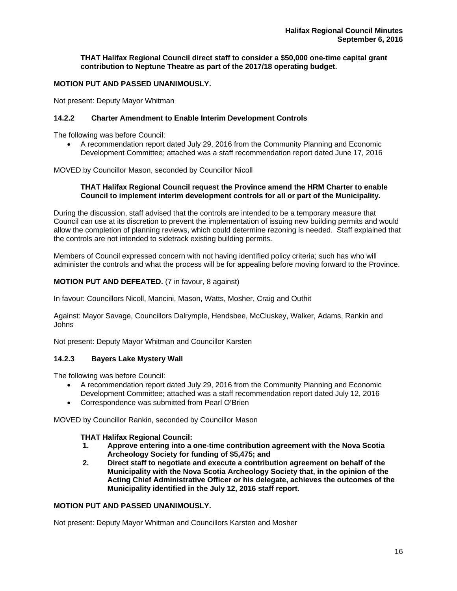**THAT Halifax Regional Council direct staff to consider a \$50,000 one-time capital grant contribution to Neptune Theatre as part of the 2017/18 operating budget.**

# **MOTION PUT AND PASSED UNANIMOUSLY.**

Not present: Deputy Mayor Whitman

## **14.2.2 Charter Amendment to Enable Interim Development Controls**

The following was before Council:

 A recommendation report dated July 29, 2016 from the Community Planning and Economic Development Committee; attached was a staff recommendation report dated June 17, 2016

MOVED by Councillor Mason, seconded by Councillor Nicoll

## **THAT Halifax Regional Council request the Province amend the HRM Charter to enable Council to implement interim development controls for all or part of the Municipality.**

During the discussion, staff advised that the controls are intended to be a temporary measure that Council can use at its discretion to prevent the implementation of issuing new building permits and would allow the completion of planning reviews, which could determine rezoning is needed. Staff explained that the controls are not intended to sidetrack existing building permits.

Members of Council expressed concern with not having identified policy criteria; such has who will administer the controls and what the process will be for appealing before moving forward to the Province.

## **MOTION PUT AND DEFEATED.** (7 in favour, 8 against)

In favour: Councillors Nicoll, Mancini, Mason, Watts, Mosher, Craig and Outhit

Against: Mayor Savage, Councillors Dalrymple, Hendsbee, McCluskey, Walker, Adams, Rankin and Johns

Not present: Deputy Mayor Whitman and Councillor Karsten

# **14.2.3 Bayers Lake Mystery Wall**

The following was before Council:

- A recommendation report dated July 29, 2016 from the Community Planning and Economic Development Committee; attached was a staff recommendation report dated July 12, 2016
- Correspondence was submitted from Pearl O'Brien

MOVED by Councillor Rankin, seconded by Councillor Mason

## **THAT Halifax Regional Council:**

- **1. Approve entering into a one-time contribution agreement with the Nova Scotia Archeology Society for funding of \$5,475; and**
- **2. Direct staff to negotiate and execute a contribution agreement on behalf of the Municipality with the Nova Scotia Archeology Society that, in the opinion of the Acting Chief Administrative Officer or his delegate, achieves the outcomes of the Municipality identified in the July 12, 2016 staff report.**

## **MOTION PUT AND PASSED UNANIMOUSLY.**

Not present: Deputy Mayor Whitman and Councillors Karsten and Mosher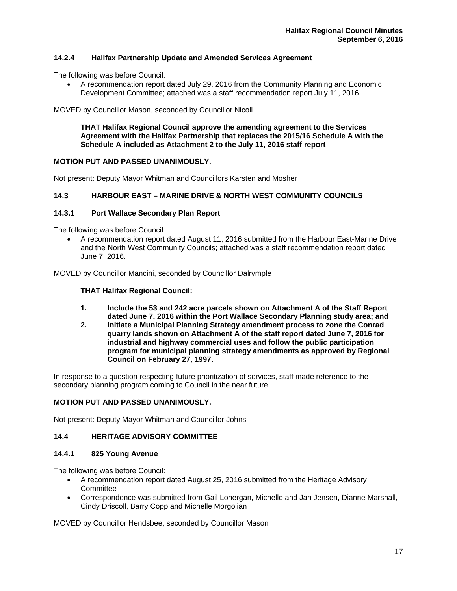# **14.2.4 Halifax Partnership Update and Amended Services Agreement**

The following was before Council:

 A recommendation report dated July 29, 2016 from the Community Planning and Economic Development Committee; attached was a staff recommendation report July 11, 2016.

MOVED by Councillor Mason, seconded by Councillor Nicoll

**THAT Halifax Regional Council approve the amending agreement to the Services Agreement with the Halifax Partnership that replaces the 2015/16 Schedule A with the Schedule A included as Attachment 2 to the July 11, 2016 staff report** 

## **MOTION PUT AND PASSED UNANIMOUSLY.**

Not present: Deputy Mayor Whitman and Councillors Karsten and Mosher

## **14.3 HARBOUR EAST – MARINE DRIVE & NORTH WEST COMMUNITY COUNCILS**

#### **14.3.1 Port Wallace Secondary Plan Report**

The following was before Council:

 A recommendation report dated August 11, 2016 submitted from the Harbour East-Marine Drive and the North West Community Councils; attached was a staff recommendation report dated June 7, 2016.

MOVED by Councillor Mancini, seconded by Councillor Dalrymple

#### **THAT Halifax Regional Council:**

- **1. Include the 53 and 242 acre parcels shown on Attachment A of the Staff Report dated June 7, 2016 within the Port Wallace Secondary Planning study area; and**
- **2. Initiate a Municipal Planning Strategy amendment process to zone the Conrad quarry lands shown on Attachment A of the staff report dated June 7, 2016 for industrial and highway commercial uses and follow the public participation program for municipal planning strategy amendments as approved by Regional Council on February 27, 1997.**

In response to a question respecting future prioritization of services, staff made reference to the secondary planning program coming to Council in the near future.

## **MOTION PUT AND PASSED UNANIMOUSLY.**

Not present: Deputy Mayor Whitman and Councillor Johns

# **14.4 HERITAGE ADVISORY COMMITTEE**

#### **14.4.1 825 Young Avenue**

The following was before Council:

- A recommendation report dated August 25, 2016 submitted from the Heritage Advisory **Committee**
- Correspondence was submitted from Gail Lonergan, Michelle and Jan Jensen, Dianne Marshall, Cindy Driscoll, Barry Copp and Michelle Morgolian

MOVED by Councillor Hendsbee, seconded by Councillor Mason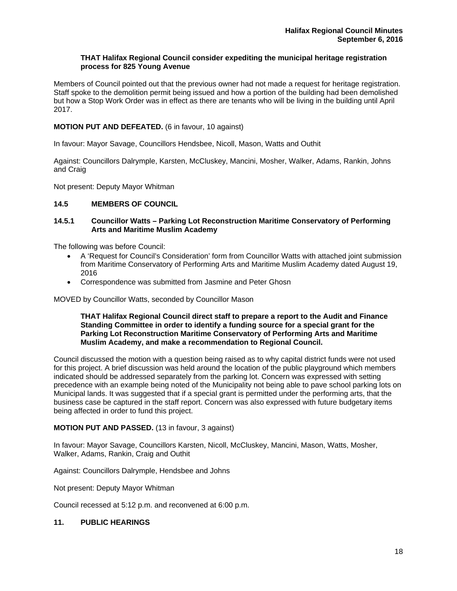## **THAT Halifax Regional Council consider expediting the municipal heritage registration process for 825 Young Avenue**

Members of Council pointed out that the previous owner had not made a request for heritage registration. Staff spoke to the demolition permit being issued and how a portion of the building had been demolished but how a Stop Work Order was in effect as there are tenants who will be living in the building until April 2017.

## **MOTION PUT AND DEFEATED.** (6 in favour, 10 against)

In favour: Mayor Savage, Councillors Hendsbee, Nicoll, Mason, Watts and Outhit

Against: Councillors Dalrymple, Karsten, McCluskey, Mancini, Mosher, Walker, Adams, Rankin, Johns and Craig

Not present: Deputy Mayor Whitman

## **14.5 MEMBERS OF COUNCIL**

## **14.5.1 Councillor Watts – Parking Lot Reconstruction Maritime Conservatory of Performing Arts and Maritime Muslim Academy**

The following was before Council:

- A 'Request for Council's Consideration' form from Councillor Watts with attached joint submission from Maritime Conservatory of Performing Arts and Maritime Muslim Academy dated August 19, 2016
- Correspondence was submitted from Jasmine and Peter Ghosn

MOVED by Councillor Watts, seconded by Councillor Mason

#### **THAT Halifax Regional Council direct staff to prepare a report to the Audit and Finance Standing Committee in order to identify a funding source for a special grant for the Parking Lot Reconstruction Maritime Conservatory of Performing Arts and Maritime Muslim Academy, and make a recommendation to Regional Council.**

Council discussed the motion with a question being raised as to why capital district funds were not used for this project. A brief discussion was held around the location of the public playground which members indicated should be addressed separately from the parking lot. Concern was expressed with setting precedence with an example being noted of the Municipality not being able to pave school parking lots on Municipal lands. It was suggested that if a special grant is permitted under the performing arts, that the business case be captured in the staff report. Concern was also expressed with future budgetary items being affected in order to fund this project.

## **MOTION PUT AND PASSED.** (13 in favour, 3 against)

In favour: Mayor Savage, Councillors Karsten, Nicoll, McCluskey, Mancini, Mason, Watts, Mosher, Walker, Adams, Rankin, Craig and Outhit

Against: Councillors Dalrymple, Hendsbee and Johns

Not present: Deputy Mayor Whitman

Council recessed at 5:12 p.m. and reconvened at 6:00 p.m.

## **11. PUBLIC HEARINGS**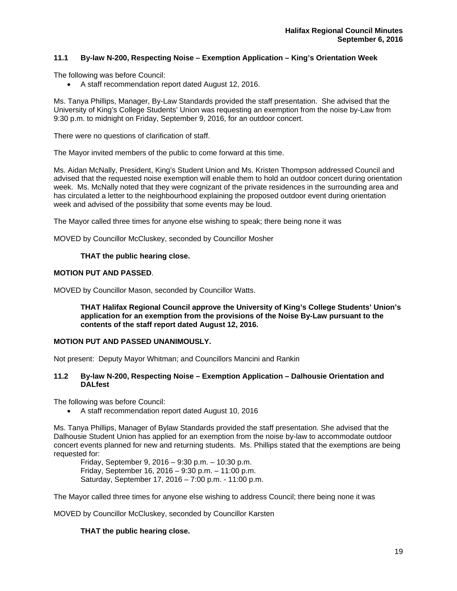# **11.1 By-law N-200, Respecting Noise – Exemption Application – King's Orientation Week**

The following was before Council:

A staff recommendation report dated August 12, 2016.

Ms. Tanya Phillips, Manager, By-Law Standards provided the staff presentation. She advised that the University of King's College Students' Union was requesting an exemption from the noise by-Law from 9:30 p.m. to midnight on Friday, September 9, 2016, for an outdoor concert.

There were no questions of clarification of staff.

The Mayor invited members of the public to come forward at this time.

Ms. Aidan McNally, President, King's Student Union and Ms. Kristen Thompson addressed Council and advised that the requested noise exemption will enable them to hold an outdoor concert during orientation week. Ms. McNally noted that they were cognizant of the private residences in the surrounding area and has circulated a letter to the neighbourhood explaining the proposed outdoor event during orientation week and advised of the possibility that some events may be loud.

The Mayor called three times for anyone else wishing to speak; there being none it was

MOVED by Councillor McCluskey, seconded by Councillor Mosher

## **THAT the public hearing close.**

## **MOTION PUT AND PASSED**.

MOVED by Councillor Mason, seconded by Councillor Watts.

**THAT Halifax Regional Council approve the University of King's College Students' Union's application for an exemption from the provisions of the Noise By-Law pursuant to the contents of the staff report dated August 12, 2016.** 

## **MOTION PUT AND PASSED UNANIMOUSLY.**

Not present: Deputy Mayor Whitman; and Councillors Mancini and Rankin

## **11.2 By-law N-200, Respecting Noise – Exemption Application – Dalhousie Orientation and DALfest**

The following was before Council:

A staff recommendation report dated August 10, 2016

Ms. Tanya Phillips, Manager of Bylaw Standards provided the staff presentation. She advised that the Dalhousie Student Union has applied for an exemption from the noise by-law to accommodate outdoor concert events planned for new and returning students. Ms. Phillips stated that the exemptions are being requested for:

 Friday, September 9, 2016 – 9:30 p.m. – 10:30 p.m. Friday, September 16, 2016 – 9:30 p.m. – 11:00 p.m. Saturday, September 17, 2016 – 7:00 p.m. - 11:00 p.m.

The Mayor called three times for anyone else wishing to address Council; there being none it was

MOVED by Councillor McCluskey, seconded by Councillor Karsten

## **THAT the public hearing close.**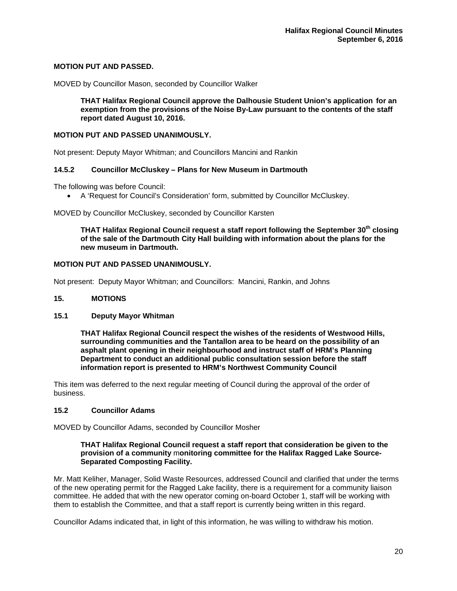## **MOTION PUT AND PASSED.**

MOVED by Councillor Mason, seconded by Councillor Walker

**THAT Halifax Regional Council approve the Dalhousie Student Union's application for an exemption from the provisions of the Noise By-Law pursuant to the contents of the staff report dated August 10, 2016.** 

## **MOTION PUT AND PASSED UNANIMOUSLY.**

Not present: Deputy Mayor Whitman; and Councillors Mancini and Rankin

## **14.5.2 Councillor McCluskey – Plans for New Museum in Dartmouth**

The following was before Council:

A 'Request for Council's Consideration' form, submitted by Councillor McCluskey.

MOVED by Councillor McCluskey, seconded by Councillor Karsten

**THAT Halifax Regional Council request a staff report following the September 30th closing of the sale of the Dartmouth City Hall building with information about the plans for the new museum in Dartmouth.** 

#### **MOTION PUT AND PASSED UNANIMOUSLY.**

Not present: Deputy Mayor Whitman; and Councillors: Mancini, Rankin, and Johns

#### **15. MOTIONS**

#### **15.1 Deputy Mayor Whitman**

**THAT Halifax Regional Council respect the wishes of the residents of Westwood Hills, surrounding communities and the Tantallon area to be heard on the possibility of an asphalt plant opening in their neighbourhood and instruct staff of HRM's Planning Department to conduct an additional public consultation session before the staff information report is presented to HRM's Northwest Community Council** 

This item was deferred to the next regular meeting of Council during the approval of the order of business.

## **15.2 Councillor Adams**

MOVED by Councillor Adams, seconded by Councillor Mosher

## **THAT Halifax Regional Council request a staff report that consideration be given to the provision of a community** m**onitoring committee for the Halifax Ragged Lake Source-Separated Composting Facility.**

Mr. Matt Keliher, Manager, Solid Waste Resources, addressed Council and clarified that under the terms of the new operating permit for the Ragged Lake facility, there is a requirement for a community liaison committee. He added that with the new operator coming on-board October 1, staff will be working with them to establish the Committee, and that a staff report is currently being written in this regard.

Councillor Adams indicated that, in light of this information, he was willing to withdraw his motion.